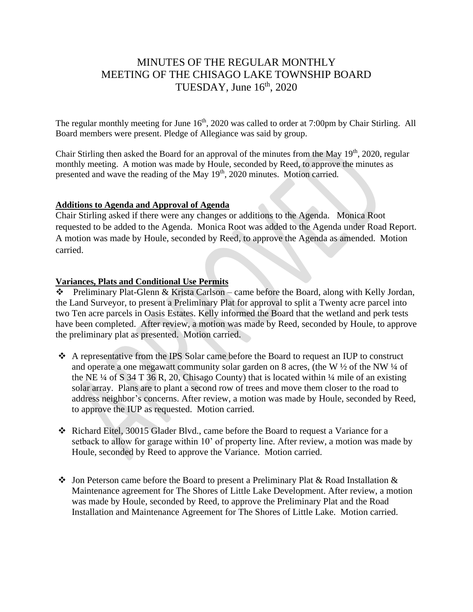# MINUTES OF THE REGULAR MONTHLY MEETING OF THE CHISAGO LAKE TOWNSHIP BOARD TUESDAY, June  $16<sup>th</sup>$ , 2020

The regular monthly meeting for June 16<sup>th</sup>, 2020 was called to order at 7:00pm by Chair Stirling. All Board members were present. Pledge of Allegiance was said by group.

Chair Stirling then asked the Board for an approval of the minutes from the May  $19<sup>th</sup>$ , 2020, regular monthly meeting. A motion was made by Houle, seconded by Reed, to approve the minutes as presented and wave the reading of the May  $19<sup>th</sup>$ , 2020 minutes. Motion carried.

#### **Additions to Agenda and Approval of Agenda**

Chair Stirling asked if there were any changes or additions to the Agenda. Monica Root requested to be added to the Agenda. Monica Root was added to the Agenda under Road Report. A motion was made by Houle, seconded by Reed, to approve the Agenda as amended. Motion carried.

## **Variances, Plats and Conditional Use Permits**

❖ Preliminary Plat-Glenn & Krista Carlson – came before the Board, along with Kelly Jordan, the Land Surveyor, to present a Preliminary Plat for approval to split a Twenty acre parcel into two Ten acre parcels in Oasis Estates. Kelly informed the Board that the wetland and perk tests have been completed. After review, a motion was made by Reed, seconded by Houle, to approve the preliminary plat as presented. Motion carried.

- ❖ A representative from the IPS Solar came before the Board to request an IUP to construct and operate a one megawatt community solar garden on 8 acres, (the W ½ of the NW ¼ of the NE  $\frac{1}{4}$  of S 34 T 36 R, 20, Chisago County) that is located within  $\frac{1}{4}$  mile of an existing solar array. Plans are to plant a second row of trees and move them closer to the road to address neighbor's concerns. After review, a motion was made by Houle, seconded by Reed, to approve the IUP as requested. Motion carried.
- ❖ Richard Eitel, 30015 Glader Blvd., came before the Board to request a Variance for a setback to allow for garage within 10' of property line. After review, a motion was made by Houle, seconded by Reed to approve the Variance. Motion carried.
- ❖ Jon Peterson came before the Board to present a Preliminary Plat & Road Installation & Maintenance agreement for The Shores of Little Lake Development. After review, a motion was made by Houle, seconded by Reed, to approve the Preliminary Plat and the Road Installation and Maintenance Agreement for The Shores of Little Lake. Motion carried.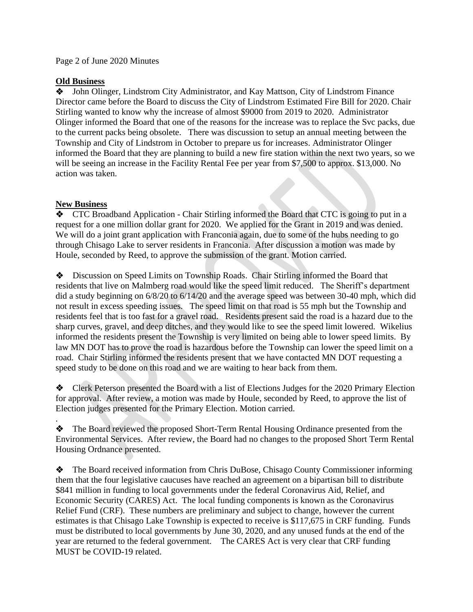#### Page 2 of June 2020 Minutes

#### **Old Business**

❖John Olinger, Lindstrom City Administrator, and Kay Mattson, City of Lindstrom Finance Director came before the Board to discuss the City of Lindstrom Estimated Fire Bill for 2020. Chair Stirling wanted to know why the increase of almost \$9000 from 2019 to 2020. Administrator Olinger informed the Board that one of the reasons for the increase was to replace the Svc packs, due to the current packs being obsolete. There was discussion to setup an annual meeting between the Township and City of Lindstrom in October to prepare us for increases. Administrator Olinger informed the Board that they are planning to build a new fire station within the next two years, so we will be seeing an increase in the Facility Rental Fee per year from \$7,500 to approx. \$13,000. No action was taken.

## **New Business**

.

❖ CTC Broadband Application - Chair Stirling informed the Board that CTC is going to put in a request for a one million dollar grant for 2020. We applied for the Grant in 2019 and was denied. We will do a joint grant application with Franconia again, due to some of the hubs needing to go through Chisago Lake to server residents in Franconia. After discussion a motion was made by Houle, seconded by Reed, to approve the submission of the grant. Motion carried.

❖ Discussion on Speed Limits on Township Roads. Chair Stirling informed the Board that residents that live on Malmberg road would like the speed limit reduced. The Sheriff's department did a study beginning on 6/8/20 to 6/14/20 and the average speed was between 30-40 mph, which did not result in excess speeding issues. The speed limit on that road is 55 mph but the Township and residents feel that is too fast for a gravel road. Residents present said the road is a hazard due to the sharp curves, gravel, and deep ditches, and they would like to see the speed limit lowered. Wikelius informed the residents present the Township is very limited on being able to lower speed limits. By law MN DOT has to prove the road is hazardous before the Township can lower the speed limit on a road. Chair Stirling informed the residents present that we have contacted MN DOT requesting a speed study to be done on this road and we are waiting to hear back from them.

❖ Clerk Peterson presented the Board with a list of Elections Judges for the 2020 Primary Election for approval. After review, a motion was made by Houle, seconded by Reed, to approve the list of Election judges presented for the Primary Election. Motion carried.

❖ The Board reviewed the proposed Short-Term Rental Housing Ordinance presented from the Environmental Services. After review, the Board had no changes to the proposed Short Term Rental Housing Ordnance presented.

❖ The Board received information from Chris DuBose, Chisago County Commissioner informing them that the four legislative caucuses have reached an agreement on a bipartisan bill to distribute \$841 million in funding to local governments under the federal Coronavirus Aid, Relief, and Economic Security (CARES) Act. The local funding components is known as the Coronavirus Relief Fund (CRF). These numbers are preliminary and subject to change, however the current estimates is that Chisago Lake Township is expected to receive is \$117,675 in CRF funding. Funds must be distributed to local governments by June 30, 2020, and any unused funds at the end of the year are returned to the federal government. The CARES Act is very clear that CRF funding MUST be COVID-19 related.